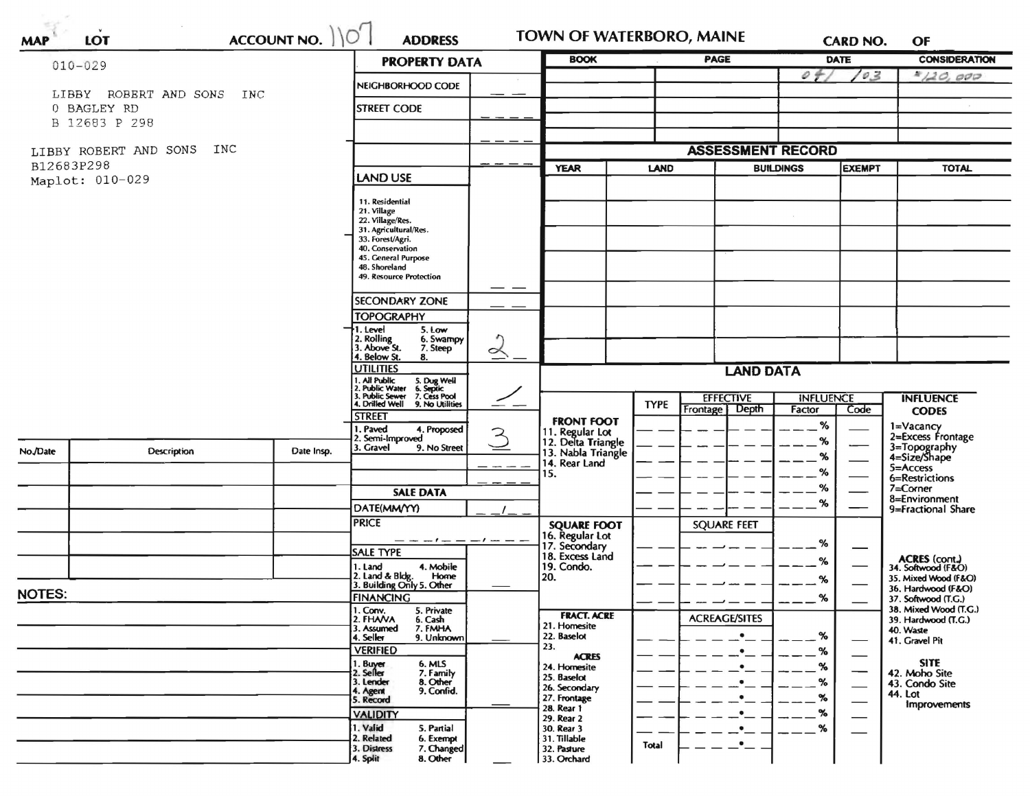| $010 - 029$   |                              | ACCOUNT NO. | <b>PROPERTY DATA</b>                                                        |              | <b>BOOK</b>                           |             | <b>PAGE</b>                        |                            | DATE          | <b>CONSIDERATION</b>                      |
|---------------|------------------------------|-------------|-----------------------------------------------------------------------------|--------------|---------------------------------------|-------------|------------------------------------|----------------------------|---------------|-------------------------------------------|
|               |                              |             |                                                                             |              |                                       |             |                                    | 04                         | 10.3          | 4/20,000                                  |
|               | LIBBY ROBERT AND SONS<br>INC |             | NEIGHBORHOOD CODE                                                           |              |                                       |             |                                    |                            |               |                                           |
|               | 0 BAGLEY RD                  |             | <b>STREET CODE</b>                                                          |              |                                       |             |                                    |                            |               |                                           |
|               | B 12683 P 298                |             |                                                                             |              |                                       |             |                                    |                            |               |                                           |
|               | INC<br>LIBBY ROBERT AND SONS |             |                                                                             |              |                                       |             | <b>ASSESSMENT RECORD</b>           |                            |               |                                           |
| B12683P298    |                              |             |                                                                             |              | <b>YEAR</b>                           | <b>LAND</b> |                                    | <b>BUILDINGS</b>           | <b>EXEMPT</b> | <b>TOTAL</b>                              |
|               | Maplot: 010-029              |             | <b>LAND USE</b>                                                             |              |                                       |             |                                    |                            |               |                                           |
|               |                              |             | 11. Residential                                                             |              |                                       |             |                                    |                            |               |                                           |
|               |                              |             | 21. Village<br>22. Village/Res.                                             |              |                                       |             |                                    |                            |               |                                           |
|               |                              |             | 31. Agricultural/Res.                                                       |              |                                       |             |                                    |                            |               |                                           |
|               |                              |             | 33. Forest/Agri.<br>40. Conservation                                        |              |                                       |             |                                    |                            |               |                                           |
|               |                              |             | 45. General Purpose                                                         |              |                                       |             |                                    |                            |               |                                           |
|               |                              |             | 48. Shoreland<br><b>49. Resource Protection</b>                             |              |                                       |             |                                    |                            |               |                                           |
|               |                              |             |                                                                             |              |                                       |             |                                    |                            |               |                                           |
|               |                              |             | <b>SECONDARY ZONE</b><br><b>TOPOGRAPHY</b>                                  |              |                                       |             |                                    |                            |               |                                           |
|               |                              |             | 5. Low<br>1. Level                                                          |              |                                       |             |                                    |                            |               |                                           |
|               |                              |             | 2. Rolling<br>3. Above St.<br>6. Swampy                                     |              |                                       |             |                                    |                            |               |                                           |
|               |                              |             | 7. Steep<br>4. Below St.<br>8.                                              | ∝            |                                       |             |                                    |                            |               |                                           |
|               |                              |             | <b>UTILITIES</b>                                                            |              |                                       |             | <b>LAND DATA</b>                   |                            |               |                                           |
|               |                              |             | . All Public<br>5. Dug Well<br>6. Septic<br>7. Cess Pool<br>2. Public Water |              |                                       |             |                                    |                            |               |                                           |
|               |                              |             | 3. Public Sewer<br>4. Drilled Well<br>9. No Utilities                       | ————         |                                       | <b>TYPE</b> | <b>EFFECTIVE</b><br>Frontage Depth | <b>INFLUENCE</b><br>Factor | Code          | <b>INFLUENCE</b><br><b>CODES</b>          |
|               |                              |             | <b>STREET</b>                                                               |              | <b>FRONT FOOT</b>                     |             |                                    | ℅                          |               | 1=Vacancy                                 |
|               |                              |             | 1. Paved<br>4. Proposed<br>2. Semi-Improved                                 | $\mathbf{z}$ | 11. Regular Lot<br>12. Delta Triangle |             |                                    | %                          |               | 2=Excess Frontage                         |
| No./Date      | <b>Description</b>           | Date Insp.  | 3. Gravel<br>9. No Street                                                   |              | 13. Nabla Triangle                    |             |                                    | %                          |               | 3=Topography<br>4=Size/Shape              |
|               |                              |             |                                                                             |              | 14. Rear Land<br>15.                  |             |                                    | ℅                          |               | 5=Access                                  |
|               |                              |             |                                                                             |              |                                       |             |                                    | ℅                          |               | 6=Restrictions<br>$7 =$ Corner            |
|               |                              |             | <b>SALE DATA</b>                                                            |              |                                       |             |                                    | %                          |               | 8=Environment                             |
|               |                              |             | DATE(MM/YY)                                                                 |              |                                       |             |                                    |                            |               | 9=Fractional Share                        |
|               |                              |             | <b>PRICE</b>                                                                |              | <b>SQUARE FOOT</b>                    |             | <b>SQUARE FEET</b>                 |                            |               |                                           |
|               |                              |             | — — — ! — — — / — — —<br><b>SALE TYPE</b>                                   |              | 16. Regular Lot<br>17. Secondary      |             |                                    | %                          |               |                                           |
|               |                              |             | 4. Mobile<br>1. Land                                                        |              | 18. Excess Land<br>19. Condo.         |             |                                    | ℅                          |               | ACRES (cont.)<br>34. Softwood (F&O)       |
|               |                              |             | 2. Land & Bldg.<br>Home                                                     |              | 20.                                   |             |                                    | ℅                          |               | 35. Mixed Wood (F&O)                      |
| <b>NOTES:</b> |                              |             | 3. Building Only 5. Other<br><b>FINANCING</b>                               |              |                                       |             |                                    | ℅                          |               | 36. Hardwood (F&O)<br>37. Softwood (T.G.) |
|               |                              |             | 1. Conv.<br>5. Private                                                      |              |                                       |             |                                    |                            |               | 38. Mixed Wood (T.G.)                     |
|               |                              |             | 2. FHANA<br>6. Cash<br>7. FMHA<br>3. Assumed                                |              | <b>FRACT. ACRE</b><br>21. Homesite    |             | <b>ACREAGE/SITES</b>               |                            |               | 39. Hardwood (T.G.)<br>40. Waste          |
|               |                              |             | 9. Unknown<br>4. Seller                                                     |              | 22. Baselot                           |             | $\bullet$                          | %                          |               | 41. Gravel Pit                            |
|               |                              |             | <b>VERIFIED</b>                                                             |              | 23.<br><b>ACRES</b>                   |             |                                    | %                          |               |                                           |
|               |                              |             | 6. MLS<br>1. Buy <del>er</del><br>2. Seller<br>7. Family                    |              | 24. Homesite                          |             |                                    | %                          |               | <b>SITE</b><br>42. Moho Site              |
|               |                              |             | 8. Other<br>3. Lender<br>9. Confid.                                         |              | 25. Baselot<br>26. Secondary          |             |                                    | %                          | —             | 43. Condo Site                            |
|               |                              |             | 4. Agent<br>5. Record                                                       |              | 27. Frontage                          |             |                                    | %                          |               | <b>44. Lot</b><br>Improvements            |
|               |                              |             | <b>VALIDITY</b>                                                             |              | 28. Rear 1<br>29. Rear 2              |             |                                    | %                          |               |                                           |
|               |                              |             | 1. Valid<br>5. Partial                                                      |              | 30. Rear 3                            |             |                                    | %                          |               |                                           |
|               |                              |             | 2. Related<br>6. Exempt<br>3. Distress<br>7. Changed                        |              | 31. Tillable<br>32. Pasture           | Total       |                                    |                            |               |                                           |
|               |                              |             |                                                                             |              |                                       |             |                                    |                            |               |                                           |